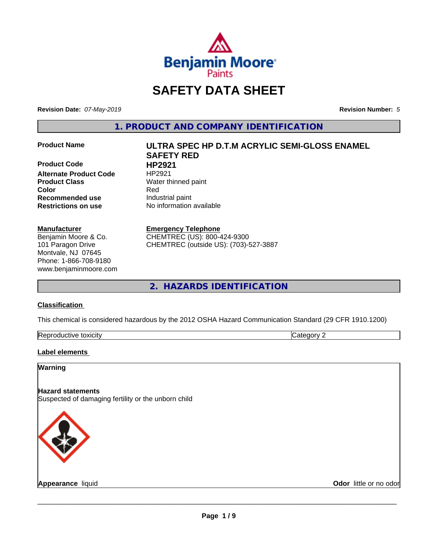

# **SAFETY DATA SHEET**

**Revision Date:** *07-May-2019* **Revision Number:** *5*

**1. PRODUCT AND COMPANY IDENTIFICATION**

**Product Code HP2921 Alternate Product Code** HP2921 **Product Class** Water thinned paint **Recommended use** Industrial paint **Restrictions on use** No information available

#### **Manufacturer**

Benjamin Moore & Co. 101 Paragon Drive Montvale, NJ 07645 Phone: 1-866-708-9180 www.benjaminmoore.com

# **Product Name ULTRA SPEC HP D.T.M ACRYLIC SEMI-GLOSS ENAMEL SAFETY RED Color** Red

#### **Emergency Telephone**

CHEMTREC (US): 800-424-9300 CHEMTREC (outside US): (703)-527-3887

**2. HAZARDS IDENTIFICATION**

#### **Classification**

This chemical is considered hazardous by the 2012 OSHA Hazard Communication Standard (29 CFR 1910.1200)

| toxicity<br>Repr.<br>oductive | ĸ<br>-- - --<br>.ат<br>ιr<br>7. J. |
|-------------------------------|------------------------------------|

#### **Label elements**

### **Warning**

#### **Hazard statements** Suspected of damaging fertility or the unborn child



**Appearance** liquid **Contract Contract Contract Contract Contract Contract Contract Contract Contract Contract Contract Contract Contract Contract Contract Contract Contract Contract Contract Contract Contract Contract Con**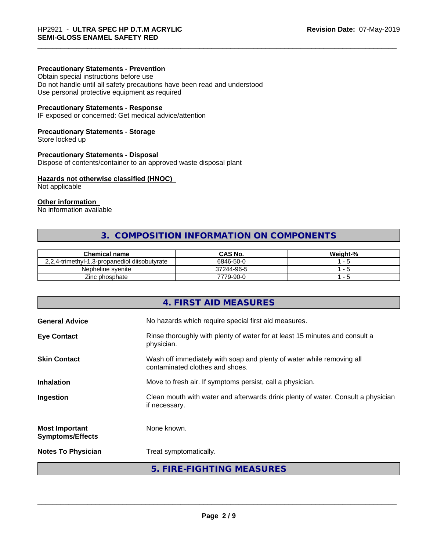#### **Precautionary Statements - Prevention**

Obtain special instructions before use Do not handle until all safety precautions have been read and understood Use personal protective equipment as required

#### **Precautionary Statements - Response**

IF exposed or concerned: Get medical advice/attention

#### **Precautionary Statements - Storage**

Store locked up

#### **Precautionary Statements - Disposal**

Dispose of contents/container to an approved waste disposal plant

#### **Hazards not otherwise classified (HNOC)**

Not applicable

### **Other information**

No information available

# **3. COMPOSITION INFORMATION ON COMPONENTS**

| <b>Chemical name</b>                          | CAS No.    | Weight-% |
|-----------------------------------------------|------------|----------|
| 2.2.4-trimethyl-1.3-propanediol diisobutyrate | 6846-50-0  |          |
| Nepheline svenite                             | 37244-96-5 |          |
| Zinc phosphate                                | 7779-90-0  |          |

|                                                  | 4. FIRST AID MEASURES                                                                                    |
|--------------------------------------------------|----------------------------------------------------------------------------------------------------------|
| <b>General Advice</b>                            | No hazards which require special first aid measures.                                                     |
| <b>Eye Contact</b>                               | Rinse thoroughly with plenty of water for at least 15 minutes and consult a<br>physician.                |
| <b>Skin Contact</b>                              | Wash off immediately with soap and plenty of water while removing all<br>contaminated clothes and shoes. |
| <b>Inhalation</b>                                | Move to fresh air. If symptoms persist, call a physician.                                                |
| Ingestion                                        | Clean mouth with water and afterwards drink plenty of water. Consult a physician<br>if necessary.        |
| <b>Most Important</b><br><b>Symptoms/Effects</b> | None known.                                                                                              |
| <b>Notes To Physician</b>                        | Treat symptomatically.                                                                                   |
|                                                  | 5. FIRE-FIGHTING MEASURES                                                                                |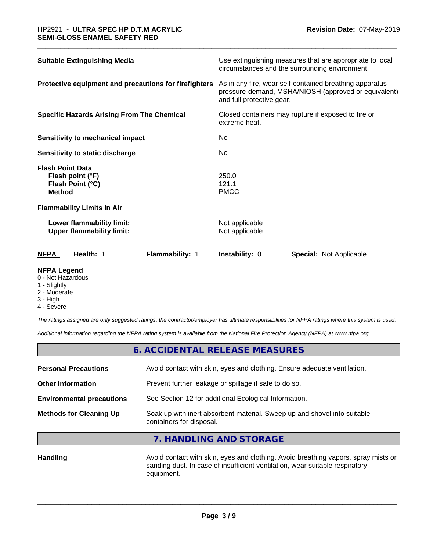| <b>Suitable Extinguishing Media</b>                                              |                                                         | Use extinguishing measures that are appropriate to local<br>circumstances and the surrounding environment.      |  |  |
|----------------------------------------------------------------------------------|---------------------------------------------------------|-----------------------------------------------------------------------------------------------------------------|--|--|
| Protective equipment and precautions for firefighters                            | and full protective gear.                               | As in any fire, wear self-contained breathing apparatus<br>pressure-demand, MSHA/NIOSH (approved or equivalent) |  |  |
| <b>Specific Hazards Arising From The Chemical</b>                                | extreme heat.                                           | Closed containers may rupture if exposed to fire or                                                             |  |  |
| <b>Sensitivity to mechanical impact</b>                                          | No.                                                     |                                                                                                                 |  |  |
| Sensitivity to static discharge                                                  | No.                                                     |                                                                                                                 |  |  |
| <b>Flash Point Data</b><br>Flash point (°F)<br>Flash Point (°C)<br><b>Method</b> | 250.0<br>121.1<br><b>PMCC</b>                           |                                                                                                                 |  |  |
| <b>Flammability Limits In Air</b>                                                |                                                         |                                                                                                                 |  |  |
| Lower flammability limit:<br><b>Upper flammability limit:</b>                    | Not applicable<br>Not applicable                        |                                                                                                                 |  |  |
| Flammability: 1<br><b>NFPA</b><br>Health: 1                                      | <b>Instability: 0</b><br><b>Special: Not Applicable</b> |                                                                                                                 |  |  |

#### **NFPA Legend**

- 0 Not Hazardous
- 1 Slightly
- 2 Moderate
- 3 High
- 4 Severe

*The ratings assigned are only suggested ratings, the contractor/employer has ultimate responsibilities for NFPA ratings where this system is used.*

*Additional information regarding the NFPA rating system is available from the National Fire Protection Agency (NFPA) at www.nfpa.org.*

# **6. ACCIDENTAL RELEASE MEASURES**

| <b>Methods for Cleaning Up</b>   | Soak up with inert absorbent material. Sweep up and shovel into suitable<br>containers for disposal. |
|----------------------------------|------------------------------------------------------------------------------------------------------|
| <b>Environmental precautions</b> | See Section 12 for additional Ecological Information.                                                |
| <b>Other Information</b>         | Prevent further leakage or spillage if safe to do so.                                                |
| <b>Personal Precautions</b>      | Avoid contact with skin, eyes and clothing. Ensure adequate ventilation.                             |
|                                  |                                                                                                      |

### **7. HANDLING AND STORAGE**

Handling **Handling Avoid contact with skin, eyes and clothing.** Avoid breathing vapors, spray mists or sanding dust. In case of insufficient ventilation, wear suitable respiratory equipment.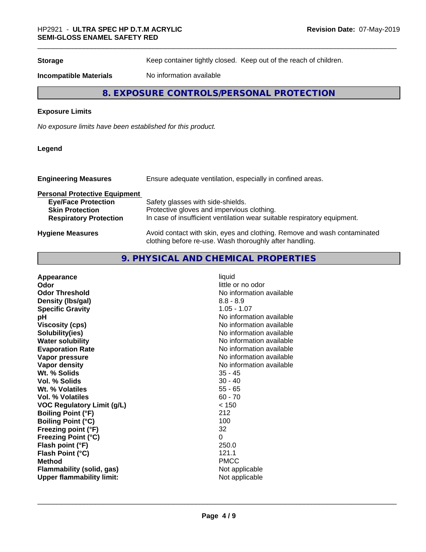**Storage** Keep container tightly closed. Keep out of the reach of children.

**Incompatible Materials** No information available

# **8. EXPOSURE CONTROLS/PERSONAL PROTECTION**

#### **Exposure Limits**

*No exposure limits have been established for this product.*

#### **Legend**

| <b>Engineering Measures</b>          | Ensure adequate ventilation, especially in confined areas.                                                                          |
|--------------------------------------|-------------------------------------------------------------------------------------------------------------------------------------|
| <b>Personal Protective Equipment</b> |                                                                                                                                     |
| <b>Eye/Face Protection</b>           | Safety glasses with side-shields.                                                                                                   |
| <b>Skin Protection</b>               | Protective gloves and impervious clothing.                                                                                          |
| <b>Respiratory Protection</b>        | In case of insufficient ventilation wear suitable respiratory equipment.                                                            |
| <b>Hygiene Measures</b>              | Avoid contact with skin, eyes and clothing. Remove and wash contaminated<br>clothing before re-use. Wash thoroughly after handling. |

# **9. PHYSICAL AND CHEMICAL PROPERTIES**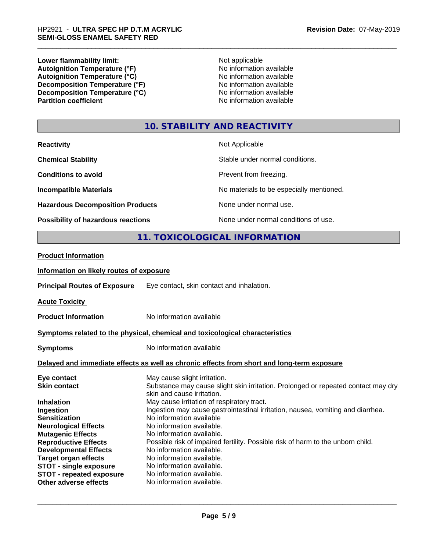**Lower flammability limit:**<br> **Autoignition Temperature (°F)** Not applicable Not applicable not a Not applicable **Autoignition Temperature (°F)**<br> **Autoignition Temperature (°C)** No information available Autoignition Temperature (°C)<br>
Decomposition Temperature (°F)<br>
No information available **Decomposition Temperature (°F)**<br> **Decomposition Temperature (°C)**<br>
No information available **Decomposition Temperature (°C)**<br>Partition coefficient

**No information available** 

## **10. STABILITY AND REACTIVITY**

| <b>Reactivity</b>                       | Not Applicable                           |
|-----------------------------------------|------------------------------------------|
| <b>Chemical Stability</b>               | Stable under normal conditions.          |
| <b>Conditions to avoid</b>              | Prevent from freezing.                   |
| <b>Incompatible Materials</b>           | No materials to be especially mentioned. |
| <b>Hazardous Decomposition Products</b> | None under normal use.                   |
| Possibility of hazardous reactions      | None under normal conditions of use.     |

# **11. TOXICOLOGICAL INFORMATION**

#### **Product Information**

#### **Information on likely routes of exposure**

**Principal Routes of Exposure** Eye contact, skin contact and inhalation.

**Acute Toxicity** 

**Product Information** No information available

#### **<u>Symptoms related to the physical, chemical and toxicological characteristics</u>**

**Symptoms** No information available

#### **Delayed and immediate effects as well as chronic effects from short and long-term exposure**

| Eye contact                     | May cause slight irritation.                                                                                    |
|---------------------------------|-----------------------------------------------------------------------------------------------------------------|
| <b>Skin contact</b>             | Substance may cause slight skin irritation. Prolonged or repeated contact may dry<br>skin and cause irritation. |
| <b>Inhalation</b>               | May cause irritation of respiratory tract.                                                                      |
| Ingestion                       | Ingestion may cause gastrointestinal irritation, nausea, vomiting and diarrhea.                                 |
| <b>Sensitization</b>            | No information available                                                                                        |
| <b>Neurological Effects</b>     | No information available.                                                                                       |
| <b>Mutagenic Effects</b>        | No information available.                                                                                       |
| <b>Reproductive Effects</b>     | Possible risk of impaired fertility. Possible risk of harm to the unborn child.                                 |
| <b>Developmental Effects</b>    | No information available.                                                                                       |
| <b>Target organ effects</b>     | No information available.                                                                                       |
| <b>STOT - single exposure</b>   | No information available.                                                                                       |
| <b>STOT - repeated exposure</b> | No information available.                                                                                       |
| Other adverse effects           | No information available.                                                                                       |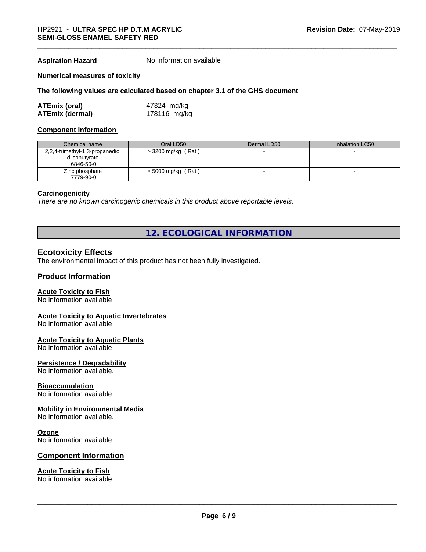**Aspiration Hazard** No information available

#### **Numerical measures of toxicity**

#### **The following values are calculated based on chapter 3.1 of the GHS document**

| <b>ATEmix (oral)</b>   | 47324 mg/kg  |
|------------------------|--------------|
| <b>ATEmix (dermal)</b> | 178116 mg/kg |

#### **Component Information**

| Chemical name                   | Oral LD50            | Dermal LD50 | Inhalation LC50 |
|---------------------------------|----------------------|-------------|-----------------|
| 2,2,4-trimethyl-1,3-propanediol | $>$ 3200 mg/kg (Rat) |             |                 |
| diisobutyrate                   |                      |             |                 |
| 6846-50-0                       |                      |             |                 |
| Zinc phosphate                  | $>$ 5000 mg/kg (Rat) |             |                 |
| 7779-90-0                       |                      |             |                 |

#### **Carcinogenicity**

*There are no known carcinogenic chemicals in this product above reportable levels.*

# **12. ECOLOGICAL INFORMATION**

#### **Ecotoxicity Effects**

The environmental impact of this product has not been fully investigated.

#### **Product Information**

#### **Acute Toxicity to Fish**

No information available

#### **Acute Toxicity to Aquatic Invertebrates**

No information available

#### **Acute Toxicity to Aquatic Plants**

No information available

#### **Persistence / Degradability**

No information available.

#### **Bioaccumulation**

No information available.

#### **Mobility in Environmental Media**

No information available.

#### **Ozone**

No information available

#### **Component Information**

### **Acute Toxicity to Fish**

No information available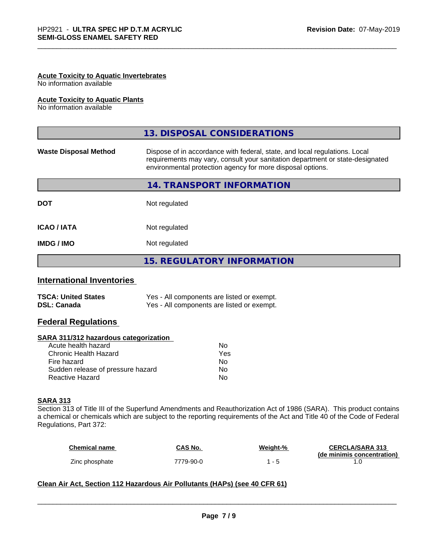### **Acute Toxicity to Aquatic Invertebrates**

No information available

#### **Acute Toxicity to Aquatic Plants**

No information available

|                              | 13. DISPOSAL CONSIDERATIONS                                                                                                                                                                                               |
|------------------------------|---------------------------------------------------------------------------------------------------------------------------------------------------------------------------------------------------------------------------|
| <b>Waste Disposal Method</b> | Dispose of in accordance with federal, state, and local regulations. Local<br>requirements may vary, consult your sanitation department or state-designated<br>environmental protection agency for more disposal options. |
|                              | 14. TRANSPORT INFORMATION                                                                                                                                                                                                 |
| <b>DOT</b>                   | Not regulated                                                                                                                                                                                                             |
| <b>ICAO/IATA</b>             | Not regulated                                                                                                                                                                                                             |
| <b>IMDG/IMO</b>              | Not regulated                                                                                                                                                                                                             |
|                              | <b>15. REGULATORY INFORMATION</b>                                                                                                                                                                                         |

### **International Inventories**

| <b>TSCA: United States</b> | Yes - All components are listed or exempt. |
|----------------------------|--------------------------------------------|
| <b>DSL: Canada</b>         | Yes - All components are listed or exempt. |

### **Federal Regulations**

#### **SARA 311/312 hazardous categorization**

| No  |
|-----|
| Yes |
| N٥  |
| Nο  |
| N٥  |
|     |

#### **SARA 313**

Section 313 of Title III of the Superfund Amendments and Reauthorization Act of 1986 (SARA). This product contains a chemical or chemicals which are subject to the reporting requirements of the Act and Title 40 of the Code of Federal Regulations, Part 372:

| <b>Chemical name</b> | CAS No.   | Weight-% | <b>CERCLA/SARA 313</b>     |
|----------------------|-----------|----------|----------------------------|
|                      |           |          | (de minimis concentration) |
| Zinc phosphate       | 7779-90-0 |          |                            |

 $\overline{\phantom{a}}$  ,  $\overline{\phantom{a}}$  ,  $\overline{\phantom{a}}$  ,  $\overline{\phantom{a}}$  ,  $\overline{\phantom{a}}$  ,  $\overline{\phantom{a}}$  ,  $\overline{\phantom{a}}$  ,  $\overline{\phantom{a}}$  ,  $\overline{\phantom{a}}$  ,  $\overline{\phantom{a}}$  ,  $\overline{\phantom{a}}$  ,  $\overline{\phantom{a}}$  ,  $\overline{\phantom{a}}$  ,  $\overline{\phantom{a}}$  ,  $\overline{\phantom{a}}$  ,  $\overline{\phantom{a}}$ 

#### **Clean Air Act,Section 112 Hazardous Air Pollutants (HAPs) (see 40 CFR 61)**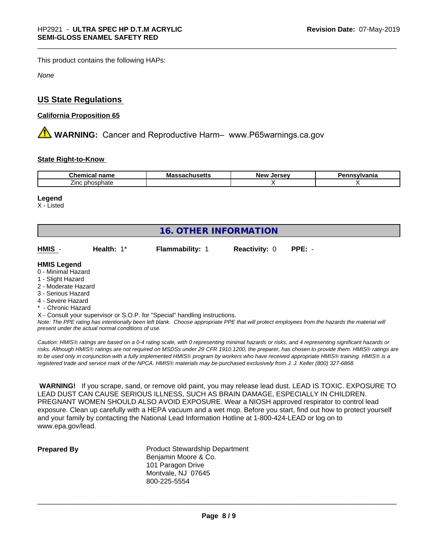This product contains the following HAPs:

*None*

# **US State Regulations**

### **California Proposition 65**

**A WARNING:** Cancer and Reproductive Harm– www.P65warnings.ca.gov

#### **State Right-to-Know**

| Cher<br>-----<br>name<br>шса            | Mas<br>…ad∪llu∂ <del>c</del> uə | larcay<br><b>NAV</b><br>. .<br>$\cdot$<br>$-1$ | nsvlvania |
|-----------------------------------------|---------------------------------|------------------------------------------------|-----------|
| - -<br>. nhoenhotr<br>Zinc:<br>nosphate |                                 |                                                |           |

#### **Legend**

X - Listed

| <b>16. OTHER INFORMATION</b>                                                                                                                          |            |                                                                            |                      |          |
|-------------------------------------------------------------------------------------------------------------------------------------------------------|------------|----------------------------------------------------------------------------|----------------------|----------|
| HMIS -                                                                                                                                                | Health: 1* | <b>Flammability: 1</b>                                                     | <b>Reactivity: 0</b> | $PPE: -$ |
| <b>HMIS Legend</b><br>0 - Minimal Hazard<br>1 - Slight Hazard<br>2 - Moderate Hazard<br>3 - Serious Hazard<br>4 - Severe Hazard<br>* - Chronic Hazard |            | X - Consult your supervisor or S.O.P. for "Special" handling instructions. |                      |          |

*Note: The PPE rating has intentionally been left blank. Choose appropriate PPE that will protect employees from the hazards the material will present under the actual normal conditions of use.*

*Caution: HMISÒ ratings are based on a 0-4 rating scale, with 0 representing minimal hazards or risks, and 4 representing significant hazards or risks. Although HMISÒ ratings are not required on MSDSs under 29 CFR 1910.1200, the preparer, has chosen to provide them. HMISÒ ratings are to be used only in conjunction with a fully implemented HMISÒ program by workers who have received appropriate HMISÒ training. HMISÒ is a registered trade and service mark of the NPCA. HMISÒ materials may be purchased exclusively from J. J. Keller (800) 327-6868.*

 **WARNING!** If you scrape, sand, or remove old paint, you may release lead dust. LEAD IS TOXIC. EXPOSURE TO LEAD DUST CAN CAUSE SERIOUS ILLNESS, SUCH AS BRAIN DAMAGE, ESPECIALLY IN CHILDREN. PREGNANT WOMEN SHOULD ALSO AVOID EXPOSURE. Wear a NIOSH approved respirator to control lead exposure. Clean up carefully with a HEPA vacuum and a wet mop. Before you start, find out how to protect yourself and your family by contacting the National Lead Information Hotline at 1-800-424-LEAD or log on to www.epa.gov/lead.

**Prepared By** Product Stewardship Department Benjamin Moore & Co. 101 Paragon Drive Montvale, NJ 07645 800-225-5554